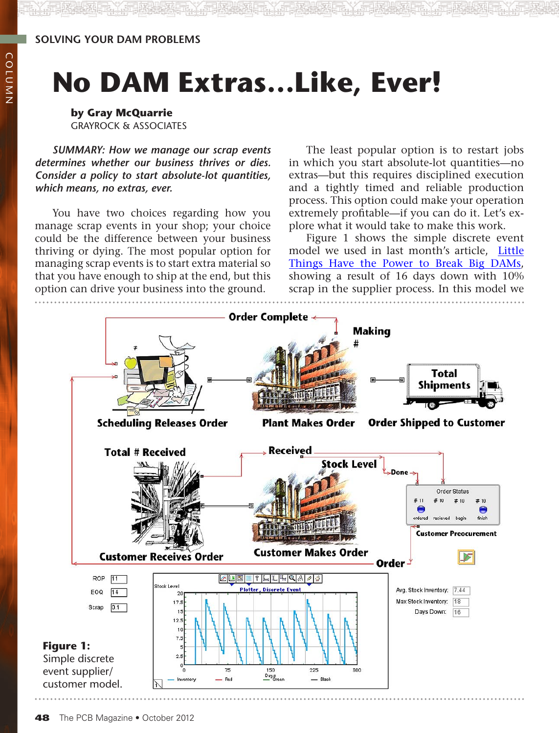#### **solving your dam problems**

# **No DAM Extras…Like, Ever!**

**by Gray McQuarrie** Grayrock & Associates

*Summary: How we manage our scrap events determines whether our business thrives or dies. Consider a policy to start absolute-lot quantities, which means, no extras, ever.*

You have two choices regarding how you manage scrap events in your shop; your choice could be the difference between your business thriving or dying. The most popular option for managing scrap events is to start extra material so that you have enough to ship at the end, but this option can drive your business into the ground.

The least popular option is to restart jobs in which you start absolute-lot quantities—no extras—but this requires disciplined execution and a tightly timed and reliable production process. This option could make your operation extremely profitable—if you can do it. Let's explore what it would take to make this work.

Figure 1 shows the simple discrete event model we used in last month's article, [Little](http://www.iconnect007.com/emag/pub/PCB-Sept2012/?page=34) [Things Have the Power to Break Big DAMs,](http://www.iconnect007.com/emag/pub/PCB-Sept2012/?page=34)  showing a result of 16 days down with 10% scrap in the supplier process. In this model we

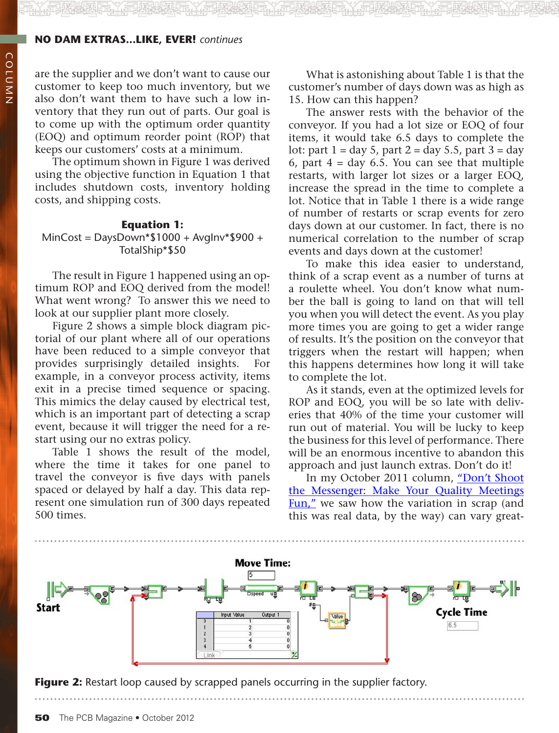#### **no dam extras...like, ever!** *continues*

are the supplier and we don't want to cause our customer to keep too much inventory, but we also don't want them to have such a low inventory that they run out of parts. Our goal is to come up with the optimum order quantity (EOQ) and optimum reorder point (ROP) that keeps our customers' costs at a minimum.

The optimum shown in Figure 1 was derived using the objective function in Equation 1 that includes shutdown costs, inventory holding costs, and shipping costs.

#### **Equation 1:**

#### MinCost = DaysDown\*\$1000 + AvgInv\*\$900 + TotalShip\*\$50

The result in Figure 1 happened using an optimum ROP and EOQ derived from the model! What went wrong? To answer this we need to look at our supplier plant more closely.

Figure 2 shows a simple block diagram pictorial of our plant where all of our operations have been reduced to a simple conveyor that provides surprisingly detailed insights. example, in a conveyor process activity, items exit in a precise timed sequence or spacing. This mimics the delay caused by electrical test, which is an important part of detecting a scrap event, because it will trigger the need for a restart using our no extras policy.

Table 1 shows the result of the model, where the time it takes for one panel to travel the conveyor is five days with panels spaced or delayed by half a day. This data represent one simulation run of 300 days repeated 500 times.

What is astonishing about Table 1 is that the customer's number of days down was as high as 15. How can this happen?

The answer rests with the behavior of the conveyor. If you had a lot size or EOQ of four items, it would take 6.5 days to complete the lot: part  $1 = day 5$ , part  $2 = day 5.5$ , part  $3 = day$ 6, part  $4 = day\ 6.5$ . You can see that multiple restarts, with larger lot sizes or a larger EOQ, increase the spread in the time to complete a lot. Notice that in Table 1 there is a wide range of number of restarts or scrap events for zero days down at our customer. In fact, there is no numerical correlation to the number of scrap events and days down at the customer!

To make this idea easier to understand, think of a scrap event as a number of turns at a roulette wheel. You don't know what number the ball is going to land on that will tell you when you will detect the event. As you play more times you are going to get a wider range of results. It's the position on the conveyor that triggers when the restart will happen; when this happens determines how long it will take to complete the lot.

As it stands, even at the optimized levels for ROP and EOQ, you will be so late with deliveries that 40% of the time your customer will run out of material. You will be lucky to keep the business for this level of performance. There will be an enormous incentive to abandon this approach and just launch extras. Don't do it!

In my October 2011 column, ["Don't Shoot](http://www.pcb007.com/emag/pub/PCB-Oct2011/?page=82) [the Messenger: Make Your Quality Meetings](http://www.pcb007.com/emag/pub/PCB-Oct2011/?page=82) [Fun,"](http://www.pcb007.com/emag/pub/PCB-Oct2011/?page=82) we saw how the variation in scrap (and this was real data, by the way) can vary great-



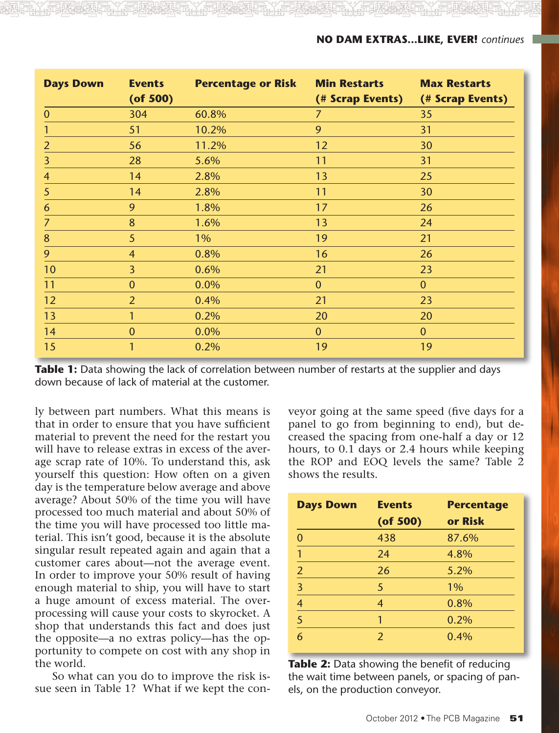| <b>Days Down</b> | <b>Events</b><br>$($ of 500 $)$ | <b>Percentage or Risk</b> | <b>Min Restarts</b><br>(# Scrap Events) | <b>Max Restarts</b><br>(# Scrap Events) |
|------------------|---------------------------------|---------------------------|-----------------------------------------|-----------------------------------------|
| $\mathbf{0}$     | 304                             | 60.8%                     | $\overline{7}$                          | 35                                      |
|                  | 51                              | 10.2%                     | 9                                       | 31                                      |
| $\overline{2}$   | 56                              | 11.2%                     | 12                                      | 30                                      |
| 3                | 28                              | 5.6%                      | 11                                      | 31                                      |
| 4                | 14                              | 2.8%                      | 13                                      | 25                                      |
| 5                | 14                              | 2.8%                      | 11                                      | 30                                      |
| 6                | 9                               | 1.8%                      | 17                                      | 26                                      |
| $\overline{7}$   | 8                               | 1.6%                      | 13                                      | 24                                      |
| 8                | 5                               | $1\%$                     | 19                                      | 21                                      |
| 9                | $\overline{4}$                  | 0.8%                      | 16                                      | 26                                      |
| 10               | $\overline{3}$                  | 0.6%                      | 21                                      | 23                                      |
| 11               | $\mathbf{0}$                    | 0.0%                      | $\overline{0}$                          | $\mathbf{0}$                            |
| 12               | $\overline{2}$                  | 0.4%                      | 21                                      | 23                                      |
| 13               | 1                               | 0.2%                      | 20                                      | 20                                      |
| 14               | $\mathbf{0}$                    | 0.0%                      | $\overline{0}$                          | $\mathbf{0}$                            |
| 15               | 1                               | 0.2%                      | 19                                      | 19                                      |

**Table 1:** Data showing the lack of correlation between number of restarts at the supplier and days down because of lack of material at the customer.

ly between part numbers. What this means is that in order to ensure that you have sufficient material to prevent the need for the restart you will have to release extras in excess of the average scrap rate of 10%. To understand this, ask yourself this question: How often on a given day is the temperature below average and above average? About 50% of the time you will have processed too much material and about 50% of the time you will have processed too little material. This isn't good, because it is the absolute singular result repeated again and again that a customer cares about—not the average event. In order to improve your 50% result of having enough material to ship, you will have to start a huge amount of excess material. The overprocessing will cause your costs to skyrocket. A shop that understands this fact and does just the opposite—a no extras policy—has the opportunity to compete on cost with any shop in the world.

So what can you do to improve the risk issue seen in Table 1? What if we kept the con-

veyor going at the same speed (five days for a panel to go from beginning to end), but decreased the spacing from one-half a day or 12 hours, to 0.1 days or 2.4 hours while keeping the ROP and EOQ levels the same? Table 2 shows the results.

| <b>Days Down</b> | <b>Events</b>  | <b>Percentage</b> |
|------------------|----------------|-------------------|
|                  | $($ of 500 $)$ | or Risk           |
| 0                | 438            | 87.6%             |
| 1                | 24             | 4.8%              |
| $\overline{2}$   | 26             | 5.2%              |
| $\overline{3}$   | 5              | 1%                |
| $\overline{4}$   | $\overline{4}$ | 0.8%              |
| $\overline{5}$   |                | 0.2%              |
| 6                | $\mathcal{P}$  | 0.4%              |

**Table 2:** Data showing the benefit of reducing the wait time between panels, or spacing of panels, on the production conveyor.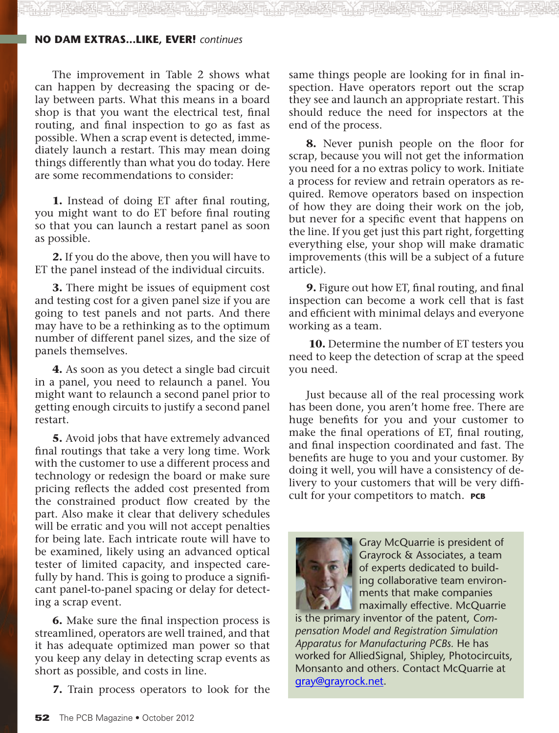#### **no dam extras...like, ever!** *continues*

The improvement in Table 2 shows what can happen by decreasing the spacing or delay between parts. What this means in a board shop is that you want the electrical test, final routing, and final inspection to go as fast as possible. When a scrap event is detected, immediately launch a restart. This may mean doing things differently than what you do today. Here are some recommendations to consider:

**1.** Instead of doing ET after final routing, you might want to do ET before final routing so that you can launch a restart panel as soon as possible.

**2.** If you do the above, then you will have to ET the panel instead of the individual circuits.

**3.** There might be issues of equipment cost and testing cost for a given panel size if you are going to test panels and not parts. And there may have to be a rethinking as to the optimum number of different panel sizes, and the size of panels themselves.

**4.** As soon as you detect a single bad circuit in a panel, you need to relaunch a panel. You might want to relaunch a second panel prior to getting enough circuits to justify a second panel restart.

**5.** Avoid jobs that have extremely advanced final routings that take a very long time. Work with the customer to use a different process and technology or redesign the board or make sure pricing reflects the added cost presented from the constrained product flow created by the part. Also make it clear that delivery schedules will be erratic and you will not accept penalties for being late. Each intricate route will have to be examined, likely using an advanced optical tester of limited capacity, and inspected carefully by hand. This is going to produce a significant panel-to-panel spacing or delay for detecting a scrap event.

**6.** Make sure the final inspection process is streamlined, operators are well trained, and that it has adequate optimized man power so that you keep any delay in detecting scrap events as short as possible, and costs in line.

**7.** Train process operators to look for the

same things people are looking for in final inspection. Have operators report out the scrap they see and launch an appropriate restart. This should reduce the need for inspectors at the end of the process.

**8.** Never punish people on the floor for scrap, because you will not get the information you need for a no extras policy to work. Initiate a process for review and retrain operators as required. Remove operators based on inspection of how they are doing their work on the job, but never for a specific event that happens on the line. If you get just this part right, forgetting everything else, your shop will make dramatic improvements (this will be a subject of a future article).

**9.** Figure out how ET, final routing, and final inspection can become a work cell that is fast and efficient with minimal delays and everyone working as a team.

**10.** Determine the number of ET testers you need to keep the detection of scrap at the speed you need.

Just because all of the real processing work has been done, you aren't home free. There are huge benefits for you and your customer to make the final operations of ET, final routing, and final inspection coordinated and fast. The benefits are huge to you and your customer. By doing it well, you will have a consistency of delivery to your customers that will be very difficult for your competitors to match. **PCB**



Gray McQuarrie is president of Grayrock & Associates, a team of experts dedicated to building collaborative team environments that make companies maximally effective. McQuarrie

is the primary inventor of the patent, *Compensation Model and Registration Simulation Apparatus for Manufacturing PCBs.* He has worked for AlliedSignal, Shipley, Photocircuits, Monsanto and others. Contact McQuarrie at [gray@grayrock.net](mailto:gray@grayrock.net).